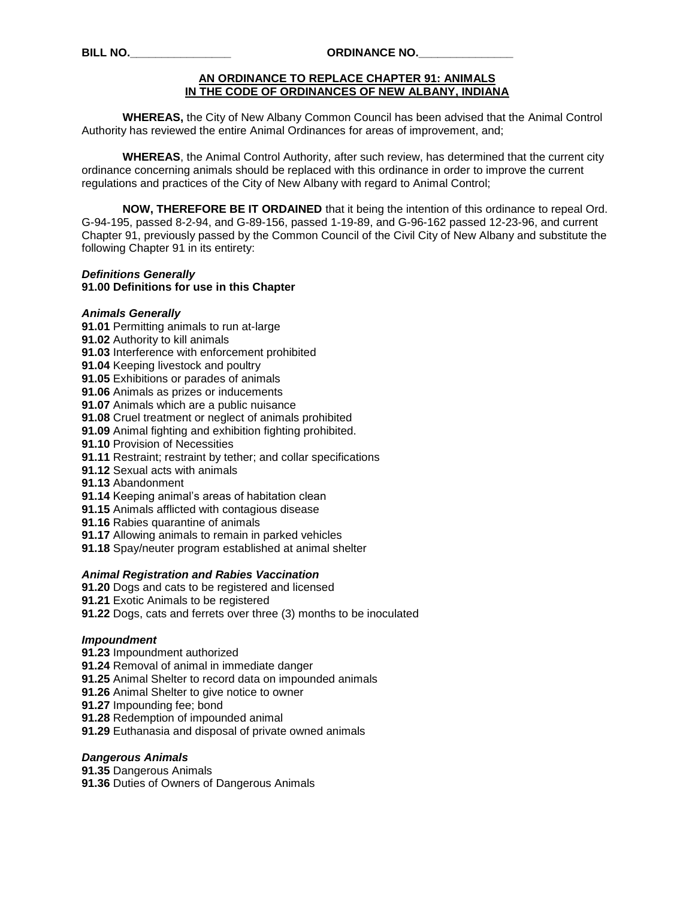#### **AN ORDINANCE TO REPLACE CHAPTER 91: ANIMALS IN THE CODE OF ORDINANCES OF NEW ALBANY, INDIANA**

**WHEREAS,** the City of New Albany Common Council has been advised that the Animal Control Authority has reviewed the entire Animal Ordinances for areas of improvement, and;

**WHEREAS**, the Animal Control Authority, after such review, has determined that the current city ordinance concerning animals should be replaced with this ordinance in order to improve the current regulations and practices of the City of New Albany with regard to Animal Control;

**NOW, THEREFORE BE IT ORDAINED** that it being the intention of this ordinance to repeal Ord. G-94-195, passed 8-2-94, and G-89-156, passed 1-19-89, and G-96-162 passed 12-23-96, and current Chapter 91, previously passed by the Common Council of the Civil City of New Albany and substitute the following Chapter 91 in its entirety:

## *Definitions Generally*

## **91.00 Definitions for use in this Chapter**

#### *Animals Generally*

- **91.01** Permitting animals to run at-large
- **91.02** Authority to kill animals
- **91.03** Interference with enforcement prohibited
- **91.04** Keeping livestock and poultry
- **91.05** Exhibitions or parades of animals
- **91.06** Animals as prizes or inducements
- **91.07** Animals which are a public nuisance

**91.08** Cruel treatment or neglect of animals prohibited

- **91.09** Animal fighting and exhibition fighting prohibited.
- **91.10** Provision of Necessities
- **91.11** Restraint; restraint by tether; and collar specifications
- **91.12** Sexual acts with animals
- **91.13** Abandonment
- **91.14** Keeping animal's areas of habitation clean
- **91.15** Animals afflicted with contagious disease
- **91.16** Rabies quarantine of animals
- **91.17** Allowing animals to remain in parked vehicles
- **91.18** Spay/neuter program established at animal shelter

#### *Animal Registration and Rabies Vaccination*

**91.20** Dogs and cats to be registered and licensed

- **91.21** Exotic Animals to be registered
- **91.22** Dogs, cats and ferrets over three (3) months to be inoculated

#### *Impoundment*

- **91.23** Impoundment authorized
- **91.24** Removal of animal in immediate danger
- **91.25** Animal Shelter to record data on impounded animals
- **91.26** Animal Shelter to give notice to owner
- **91.27** Impounding fee; bond
- **91.28** Redemption of impounded animal
- **91.29** Euthanasia and disposal of private owned animals

#### *Dangerous Animals*

**91.35** Dangerous Animals **91.36** Duties of Owners of Dangerous Animals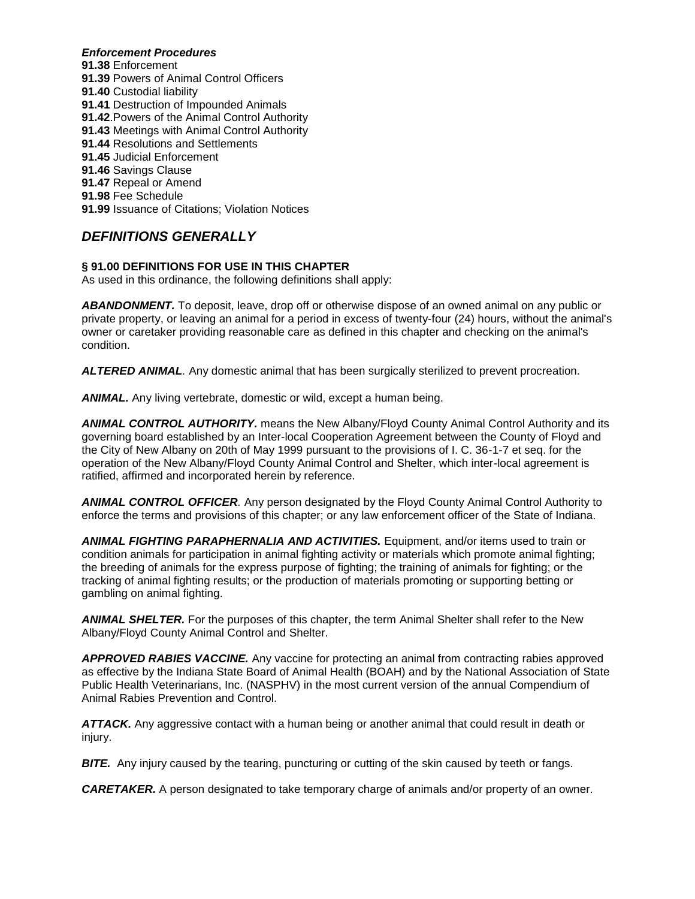## *Enforcement Procedures*

**91.38** Enforcement **91.39** Powers of Animal Control Officers **91.40** Custodial liability **91.41** Destruction of Impounded Animals **91.42**.Powers of the Animal Control Authority **91.43** Meetings with Animal Control Authority **91.44** Resolutions and Settlements **91.45** Judicial Enforcement **91.46** Savings Clause **91.47** Repeal or Amend **91.98** Fee Schedule **91.99** Issuance of Citations; Violation Notices

# *DEFINITIONS GENERALLY*

## **§ 91.00 DEFINITIONS FOR USE IN THIS CHAPTER**

As used in this ordinance, the following definitions shall apply:

*ABANDONMENT.* To deposit, leave, drop off or otherwise dispose of an owned animal on any public or private property, or leaving an animal for a period in excess of twenty-four (24) hours, without the animal's owner or caretaker providing reasonable care as defined in this chapter and checking on the animal's condition.

*ALTERED ANIMAL.* Any domestic animal that has been surgically sterilized to prevent procreation.

*ANIMAL.* Any living vertebrate, domestic or wild, except a human being.

*ANIMAL CONTROL AUTHORITY.* means the New Albany/Floyd County Animal Control Authority and its governing board established by an Inter-local Cooperation Agreement between the County of Floyd and the City of New Albany on 20th of May 1999 pursuant to the provisions of I. C. 36-1-7 et seq. for the operation of the New Albany/Floyd County Animal Control and Shelter, which inter-local agreement is ratified, affirmed and incorporated herein by reference.

*ANIMAL CONTROL OFFICER.* Any person designated by the Floyd County Animal Control Authority to enforce the terms and provisions of this chapter; or any law enforcement officer of the State of Indiana.

*ANIMAL FIGHTING PARAPHERNALIA AND ACTIVITIES.* Equipment, and/or items used to train or condition animals for participation in animal fighting activity or materials which promote animal fighting; the breeding of animals for the express purpose of fighting; the training of animals for fighting; or the tracking of animal fighting results; or the production of materials promoting or supporting betting or gambling on animal fighting.

*ANIMAL SHELTER.* For the purposes of this chapter, the term Animal Shelter shall refer to the New Albany/Floyd County Animal Control and Shelter.

*APPROVED RABIES VACCINE.* Any vaccine for protecting an animal from contracting rabies approved as effective by the Indiana State Board of Animal Health (BOAH) and by the National Association of State Public Health Veterinarians, Inc. (NASPHV) in the most current version of the annual Compendium of Animal Rabies Prevention and Control.

*ATTACK.* Any aggressive contact with a human being or another animal that could result in death or injury.

**BITE.** Any injury caused by the tearing, puncturing or cutting of the skin caused by teeth or fangs.

*CARETAKER.* A person designated to take temporary charge of animals and/or property of an owner.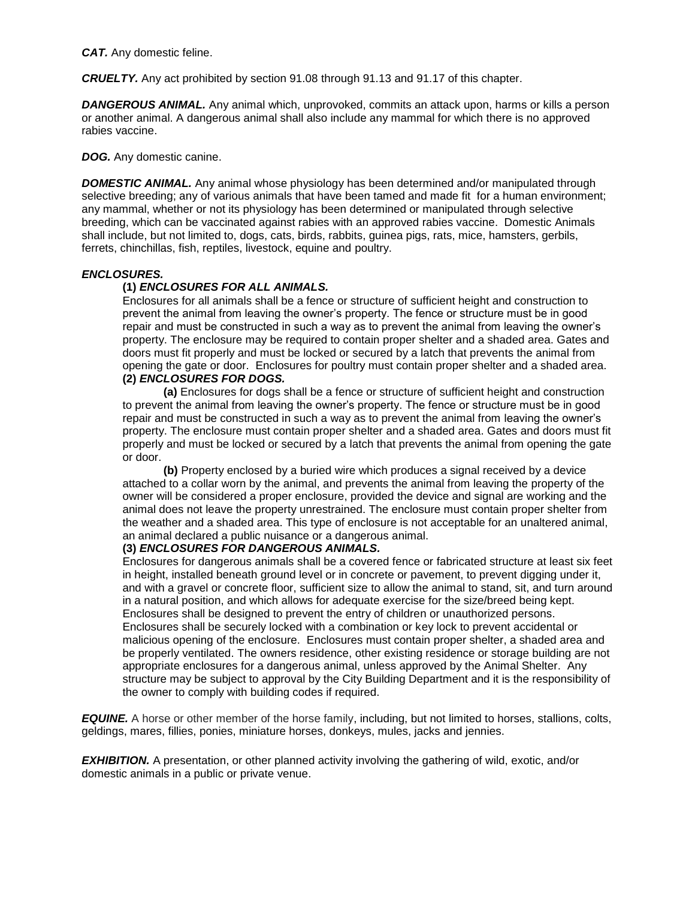*CAT.* Any domestic feline.

*CRUELTY.* Any act prohibited by section 91.08 through 91.13 and 91.17 of this chapter.

**DANGEROUS ANIMAL.** Any animal which, unprovoked, commits an attack upon, harms or kills a person or another animal. A dangerous animal shall also include any mammal for which there is no approved rabies vaccine.

*DOG.* Any domestic canine.

**DOMESTIC ANIMAL.** Any animal whose physiology has been determined and/or manipulated through selective breeding; any of various animals that have been tamed and made fit for a human environment; any mammal, whether or not its physiology has been determined or manipulated through selective breeding, which can be vaccinated against rabies with an approved rabies vaccine. Domestic Animals shall include, but not limited to, dogs, cats, birds, rabbits, guinea pigs, rats, mice, hamsters, gerbils, ferrets, chinchillas, fish, reptiles, livestock, equine and poultry.

#### *ENCLOSURES.*

## **(1)** *ENCLOSURES FOR ALL ANIMALS.*

Enclosures for all animals shall be a fence or structure of sufficient height and construction to prevent the animal from leaving the owner's property. The fence or structure must be in good repair and must be constructed in such a way as to prevent the animal from leaving the owner's property. The enclosure may be required to contain proper shelter and a shaded area. Gates and doors must fit properly and must be locked or secured by a latch that prevents the animal from opening the gate or door. Enclosures for poultry must contain proper shelter and a shaded area. **(2)** *ENCLOSURES FOR DOGS.*

**(a)** Enclosures for dogs shall be a fence or structure of sufficient height and construction to prevent the animal from leaving the owner's property. The fence or structure must be in good repair and must be constructed in such a way as to prevent the animal from leaving the owner's property. The enclosure must contain proper shelter and a shaded area. Gates and doors must fit properly and must be locked or secured by a latch that prevents the animal from opening the gate or door.

**(b)** Property enclosed by a buried wire which produces a signal received by a device attached to a collar worn by the animal, and prevents the animal from leaving the property of the owner will be considered a proper enclosure, provided the device and signal are working and the animal does not leave the property unrestrained. The enclosure must contain proper shelter from the weather and a shaded area. This type of enclosure is not acceptable for an unaltered animal, an animal declared a public nuisance or a dangerous animal.

#### **(3)** *ENCLOSURES FOR DANGEROUS ANIMALS.*

Enclosures for dangerous animals shall be a covered fence or fabricated structure at least six feet in height, installed beneath ground level or in concrete or pavement, to prevent digging under it, and with a gravel or concrete floor, sufficient size to allow the animal to stand, sit, and turn around in a natural position, and which allows for adequate exercise for the size/breed being kept. Enclosures shall be designed to prevent the entry of children or unauthorized persons. Enclosures shall be securely locked with a combination or key lock to prevent accidental or malicious opening of the enclosure. Enclosures must contain proper shelter, a shaded area and be properly ventilated. The owners residence, other existing residence or storage building are not appropriate enclosures for a dangerous animal, unless approved by the Animal Shelter. Any structure may be subject to approval by the City Building Department and it is the responsibility of the owner to comply with building codes if required.

*EQUINE.* A horse or other member of the horse family, including, but not limited to horses, stallions, colts, geldings, mares, fillies, ponies, miniature horses, donkeys, mules, jacks and jennies.

*EXHIBITION.* A presentation, or other planned activity involving the gathering of wild, exotic, and/or domestic animals in a public or private venue.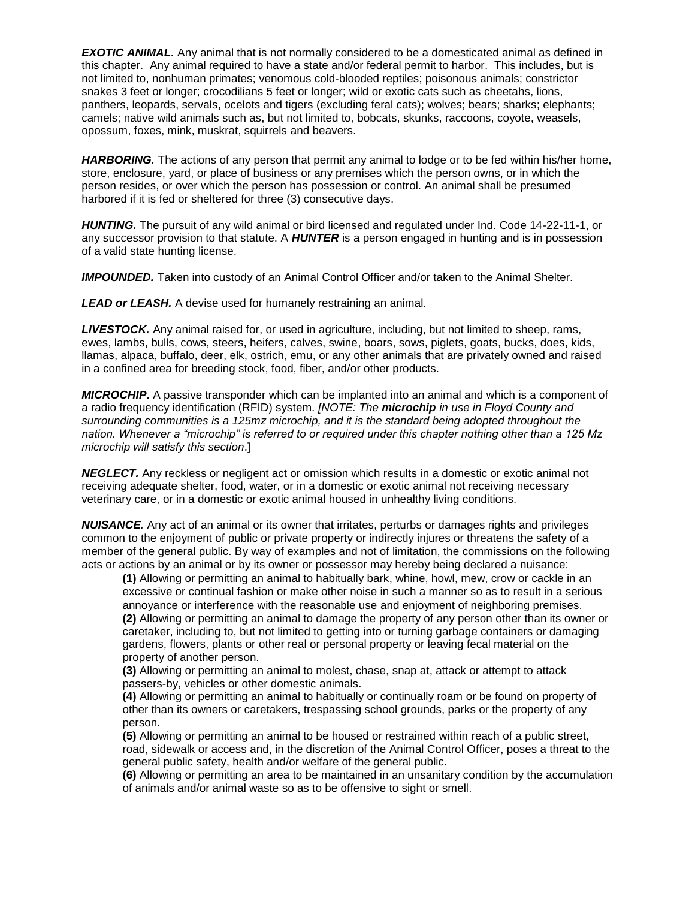**EXOTIC ANIMAL.** Any animal that is not normally considered to be a domesticated animal as defined in this chapter. Any animal required to have a state and/or federal permit to harbor. This includes, but is not limited to, nonhuman primates; venomous cold-blooded reptiles; poisonous animals; constrictor snakes 3 feet or longer; crocodilians 5 feet or longer; wild or exotic cats such as cheetahs, lions, panthers, leopards, servals, ocelots and tigers (excluding feral cats); wolves; bears; sharks; elephants; camels; native wild animals such as, but not limited to, bobcats, skunks, raccoons, coyote, weasels, opossum, foxes, mink, muskrat, squirrels and beavers.

**HARBORING.** The actions of any person that permit any animal to lodge or to be fed within his/her home, store, enclosure, yard, or place of business or any premises which the person owns, or in which the person resides, or over which the person has possession or control. An animal shall be presumed harbored if it is fed or sheltered for three (3) consecutive days.

*HUNTING.* The pursuit of any wild animal or bird licensed and regulated under Ind. Code 14-22-11-1, or any successor provision to that statute. A *HUNTER* is a person engaged in hunting and is in possession of a valid state hunting license.

*IMPOUNDED.* Taken into custody of an Animal Control Officer and/or taken to the Animal Shelter.

*LEAD or LEASH.* A devise used for humanely restraining an animal.

*LIVESTOCK.* Any animal raised for, or used in agriculture, including, but not limited to sheep, rams, ewes, lambs, bulls, cows, steers, heifers, calves, swine, boars, sows, piglets, goats, bucks, does, kids, llamas, alpaca, buffalo, deer, elk, ostrich, emu, or any other animals that are privately owned and raised in a confined area for breeding stock, food, fiber, and/or other products.

*MICROCHIP***.** A passive transponder which can be implanted into an animal and which is a component of a radio frequency identification (RFID) system*. [NOTE: The microchip in use in Floyd County and surrounding communities is a 125mz microchip, and it is the standard being adopted throughout the nation. Whenever a "microchip" is referred to or required under this chapter nothing other than a 125 Mz microchip will satisfy this section*.]

**NEGLECT.** Any reckless or negligent act or omission which results in a domestic or exotic animal not receiving adequate shelter, food, water, or in a domestic or exotic animal not receiving necessary veterinary care, or in a domestic or exotic animal housed in unhealthy living conditions.

*NUISANCE.* Any act of an animal or its owner that irritates, perturbs or damages rights and privileges common to the enjoyment of public or private property or indirectly injures or threatens the safety of a member of the general public. By way of examples and not of limitation, the commissions on the following acts or actions by an animal or by its owner or possessor may hereby being declared a nuisance:

**(1)** Allowing or permitting an animal to habitually bark, whine, howl, mew, crow or cackle in an excessive or continual fashion or make other noise in such a manner so as to result in a serious annoyance or interference with the reasonable use and enjoyment of neighboring premises. **(2)** Allowing or permitting an animal to damage the property of any person other than its owner or caretaker, including to, but not limited to getting into or turning garbage containers or damaging gardens, flowers, plants or other real or personal property or leaving fecal material on the property of another person.

**(3)** Allowing or permitting an animal to molest, chase, snap at, attack or attempt to attack passers-by, vehicles or other domestic animals.

**(4)** Allowing or permitting an animal to habitually or continually roam or be found on property of other than its owners or caretakers, trespassing school grounds, parks or the property of any person.

**(5)** Allowing or permitting an animal to be housed or restrained within reach of a public street, road, sidewalk or access and, in the discretion of the Animal Control Officer, poses a threat to the general public safety, health and/or welfare of the general public.

**(6)** Allowing or permitting an area to be maintained in an unsanitary condition by the accumulation of animals and/or animal waste so as to be offensive to sight or smell.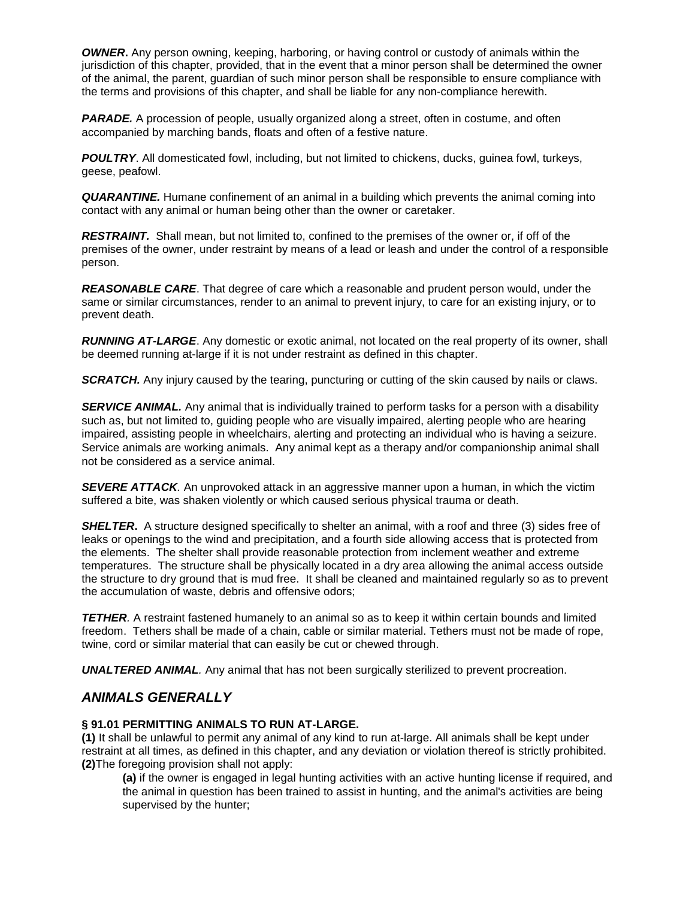*OWNER***.** Any person owning, keeping, harboring, or having control or custody of animals within the jurisdiction of this chapter, provided, that in the event that a minor person shall be determined the owner of the animal, the parent, guardian of such minor person shall be responsible to ensure compliance with the terms and provisions of this chapter, and shall be liable for any non-compliance herewith.

**PARADE.** A procession of people, usually organized along a street, often in costume, and often accompanied by marching bands, floats and often of a festive nature.

*POULTRY*. All domesticated fowl, including, but not limited to chickens, ducks, guinea fowl, turkeys, geese, peafowl.

*QUARANTINE.* Humane confinement of an animal in a building which prevents the animal coming into contact with any animal or human being other than the owner or caretaker.

**RESTRAINT.** Shall mean, but not limited to, confined to the premises of the owner or, if off of the premises of the owner, under restraint by means of a lead or leash and under the control of a responsible person.

*REASONABLE CARE*. That degree of care which a reasonable and prudent person would, under the same or similar circumstances, render to an animal to prevent injury, to care for an existing injury, or to prevent death.

*RUNNING AT-LARGE*. Any domestic or exotic animal, not located on the real property of its owner, shall be deemed running at-large if it is not under restraint as defined in this chapter.

**SCRATCH.** Any injury caused by the tearing, puncturing or cutting of the skin caused by nails or claws.

**SERVICE ANIMAL.** Any animal that is individually trained to perform tasks for a person with a disability such as, but not limited to, guiding people who are visually impaired, alerting people who are hearing impaired, assisting people in wheelchairs, alerting and protecting an individual who is having a seizure. Service animals are working animals. Any animal kept as a therapy and/or companionship animal shall not be considered as a service animal.

*SEVERE ATTACK.* An unprovoked attack in an aggressive manner upon a human, in which the victim suffered a bite, was shaken violently or which caused serious physical trauma or death.

**SHELTER.** A structure designed specifically to shelter an animal, with a roof and three (3) sides free of leaks or openings to the wind and precipitation, and a fourth side allowing access that is protected from the elements. The shelter shall provide reasonable protection from inclement weather and extreme temperatures. The structure shall be physically located in a dry area allowing the animal access outside the structure to dry ground that is mud free. It shall be cleaned and maintained regularly so as to prevent the accumulation of waste, debris and offensive odors;

**TETHER**. A restraint fastened humanely to an animal so as to keep it within certain bounds and limited freedom. Tethers shall be made of a chain, cable or similar material. Tethers must not be made of rope, twine, cord or similar material that can easily be cut or chewed through.

*UNALTERED ANIMAL.* Any animal that has not been surgically sterilized to prevent procreation.

# *ANIMALS GENERALLY*

## **§ 91.01 PERMITTING ANIMALS TO RUN AT-LARGE.**

**(1)** It shall be unlawful to permit any animal of any kind to run at-large. All animals shall be kept under restraint at all times, as defined in this chapter, and any deviation or violation thereof is strictly prohibited. **(2)**The foregoing provision shall not apply:

**(a)** if the owner is engaged in legal hunting activities with an active hunting license if required, and the animal in question has been trained to assist in hunting, and the animal's activities are being supervised by the hunter;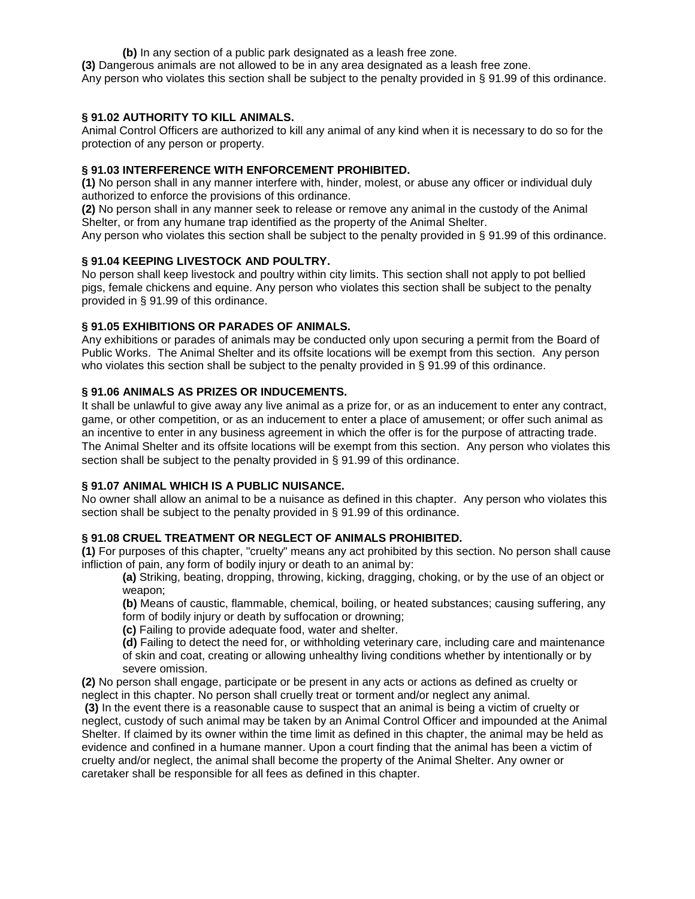**(b)** In any section of a public park designated as a leash free zone.

**(3)** Dangerous animals are not allowed to be in any area designated as a leash free zone.

Any person who violates this section shall be subject to the penalty provided in § 91.99 of this ordinance.

#### **§ 91.02 AUTHORITY TO KILL ANIMALS.**

Animal Control Officers are authorized to kill any animal of any kind when it is necessary to do so for the protection of any person or property.

# **§ 91.03 INTERFERENCE WITH ENFORCEMENT PROHIBITED.**

**(1)** No person shall in any manner interfere with, hinder, molest, or abuse any officer or individual duly authorized to enforce the provisions of this ordinance.

**(2)** No person shall in any manner seek to release or remove any animal in the custody of the Animal Shelter, or from any humane trap identified as the property of the Animal Shelter.

Any person who violates this section shall be subject to the penalty provided in § 91.99 of this ordinance.

# **§ 91.04 KEEPING LIVESTOCK AND POULTRY.**

No person shall keep livestock and poultry within city limits. This section shall not apply to pot bellied pigs, female chickens and equine. Any person who violates this section shall be subject to the penalty provided in § 91.99 of this ordinance.

## **§ 91.05 EXHIBITIONS OR PARADES OF ANIMALS.**

Any exhibitions or parades of animals may be conducted only upon securing a permit from the Board of Public Works. The Animal Shelter and its offsite locations will be exempt from this section. Any person who violates this section shall be subject to the penalty provided in § 91.99 of this ordinance.

## **§ 91.06 ANIMALS AS PRIZES OR INDUCEMENTS.**

It shall be unlawful to give away any live animal as a prize for, or as an inducement to enter any contract, game, or other competition, or as an inducement to enter a place of amusement; or offer such animal as an incentive to enter in any business agreement in which the offer is for the purpose of attracting trade. The Animal Shelter and its offsite locations will be exempt from this section. Any person who violates this section shall be subject to the penalty provided in § 91.99 of this ordinance.

# **§ 91.07 ANIMAL WHICH IS A PUBLIC NUISANCE.**

No owner shall allow an animal to be a nuisance as defined in this chapter. Any person who violates this section shall be subject to the penalty provided in § 91.99 of this ordinance.

## **§ 91.08 CRUEL TREATMENT OR NEGLECT OF ANIMALS PROHIBITED.**

**(1)** For purposes of this chapter, "cruelty" means any act prohibited by this section. No person shall cause infliction of pain, any form of bodily injury or death to an animal by:

**(a)** Striking, beating, dropping, throwing, kicking, dragging, choking, or by the use of an object or weapon;

**(b)** Means of caustic, flammable, chemical, boiling, or heated substances; causing suffering, any form of bodily injury or death by suffocation or drowning;

**(c)** Failing to provide adequate food, water and shelter.

**(d)** Failing to detect the need for, or withholding veterinary care, including care and maintenance of skin and coat, creating or allowing unhealthy living conditions whether by intentionally or by severe omission.

**(2)** No person shall engage, participate or be present in any acts or actions as defined as cruelty or neglect in this chapter. No person shall cruelly treat or torment and/or neglect any animal.

**(3)** In the event there is a reasonable cause to suspect that an animal is being a victim of cruelty or neglect, custody of such animal may be taken by an Animal Control Officer and impounded at the Animal Shelter. If claimed by its owner within the time limit as defined in this chapter, the animal may be held as evidence and confined in a humane manner. Upon a court finding that the animal has been a victim of cruelty and/or neglect, the animal shall become the property of the Animal Shelter. Any owner or caretaker shall be responsible for all fees as defined in this chapter.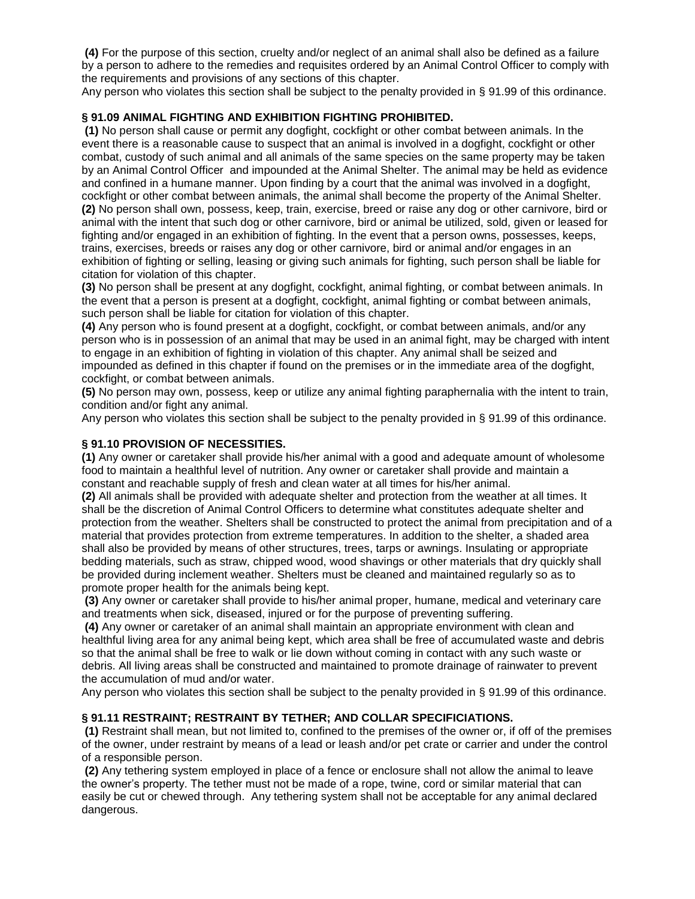**(4)** For the purpose of this section, cruelty and/or neglect of an animal shall also be defined as a failure by a person to adhere to the remedies and requisites ordered by an Animal Control Officer to comply with the requirements and provisions of any sections of this chapter.

Any person who violates this section shall be subject to the penalty provided in § 91.99 of this ordinance.

## **§ 91.09 ANIMAL FIGHTING AND EXHIBITION FIGHTING PROHIBITED.**

**(1)** No person shall cause or permit any dogfight, cockfight or other combat between animals. In the event there is a reasonable cause to suspect that an animal is involved in a dogfight, cockfight or other combat, custody of such animal and all animals of the same species on the same property may be taken by an Animal Control Officer and impounded at the Animal Shelter. The animal may be held as evidence and confined in a humane manner. Upon finding by a court that the animal was involved in a dogfight, cockfight or other combat between animals, the animal shall become the property of the Animal Shelter. **(2)** No person shall own, possess, keep, train, exercise, breed or raise any dog or other carnivore, bird or animal with the intent that such dog or other carnivore, bird or animal be utilized, sold, given or leased for fighting and/or engaged in an exhibition of fighting. In the event that a person owns, possesses, keeps, trains, exercises, breeds or raises any dog or other carnivore, bird or animal and/or engages in an exhibition of fighting or selling, leasing or giving such animals for fighting, such person shall be liable for citation for violation of this chapter.

**(3)** No person shall be present at any dogfight, cockfight, animal fighting, or combat between animals. In the event that a person is present at a dogfight, cockfight, animal fighting or combat between animals, such person shall be liable for citation for violation of this chapter.

**(4)** Any person who is found present at a dogfight, cockfight, or combat between animals, and/or any person who is in possession of an animal that may be used in an animal fight, may be charged with intent to engage in an exhibition of fighting in violation of this chapter. Any animal shall be seized and impounded as defined in this chapter if found on the premises or in the immediate area of the dogfight, cockfight, or combat between animals.

**(5)** No person may own, possess, keep or utilize any animal fighting paraphernalia with the intent to train, condition and/or fight any animal.

Any person who violates this section shall be subject to the penalty provided in § 91.99 of this ordinance.

#### **§ 91.10 PROVISION OF NECESSITIES.**

**(1)** Any owner or caretaker shall provide his/her animal with a good and adequate amount of wholesome food to maintain a healthful level of nutrition. Any owner or caretaker shall provide and maintain a constant and reachable supply of fresh and clean water at all times for his/her animal.

**(2)** All animals shall be provided with adequate shelter and protection from the weather at all times. It shall be the discretion of Animal Control Officers to determine what constitutes adequate shelter and protection from the weather. Shelters shall be constructed to protect the animal from precipitation and of a material that provides protection from extreme temperatures. In addition to the shelter, a shaded area shall also be provided by means of other structures, trees, tarps or awnings. Insulating or appropriate bedding materials, such as straw, chipped wood, wood shavings or other materials that dry quickly shall be provided during inclement weather. Shelters must be cleaned and maintained regularly so as to promote proper health for the animals being kept.

**(3)** Any owner or caretaker shall provide to his/her animal proper, humane, medical and veterinary care and treatments when sick, diseased, injured or for the purpose of preventing suffering.

**(4)** Any owner or caretaker of an animal shall maintain an appropriate environment with clean and healthful living area for any animal being kept, which area shall be free of accumulated waste and debris so that the animal shall be free to walk or lie down without coming in contact with any such waste or debris. All living areas shall be constructed and maintained to promote drainage of rainwater to prevent the accumulation of mud and/or water.

Any person who violates this section shall be subject to the penalty provided in § 91.99 of this ordinance.

#### **§ 91.11 RESTRAINT; RESTRAINT BY TETHER; AND COLLAR SPECIFICIATIONS.**

**(1)** Restraint shall mean, but not limited to, confined to the premises of the owner or, if off of the premises of the owner, under restraint by means of a lead or leash and/or pet crate or carrier and under the control of a responsible person.

**(2)** Any tethering system employed in place of a fence or enclosure shall not allow the animal to leave the owner's property. The tether must not be made of a rope, twine, cord or similar material that can easily be cut or chewed through. Any tethering system shall not be acceptable for any animal declared dangerous.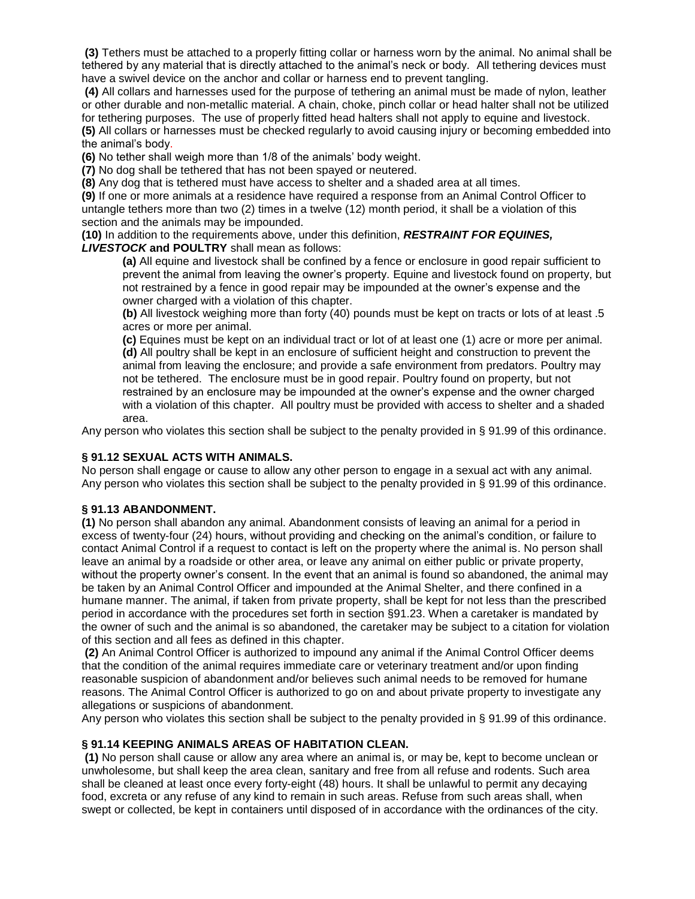**(3)** Tethers must be attached to a properly fitting collar or harness worn by the animal. No animal shall be tethered by any material that is directly attached to the animal's neck or body. All tethering devices must have a swivel device on the anchor and collar or harness end to prevent tangling.

**(4)** All collars and harnesses used for the purpose of tethering an animal must be made of nylon, leather or other durable and non-metallic material. A chain, choke, pinch collar or head halter shall not be utilized for tethering purposes. The use of properly fitted head halters shall not apply to equine and livestock. **(5)** All collars or harnesses must be checked regularly to avoid causing injury or becoming embedded into the animal's body.

**(6)** No tether shall weigh more than 1/8 of the animals' body weight.

**(7)** No dog shall be tethered that has not been spayed or neutered.

**(8)** Any dog that is tethered must have access to shelter and a shaded area at all times.

**(9)** If one or more animals at a residence have required a response from an Animal Control Officer to untangle tethers more than two (2) times in a twelve (12) month period, it shall be a violation of this section and the animals may be impounded.

**(10)** In addition to the requirements above, under this definition, *RESTRAINT FOR EQUINES, LIVESTOCK* **and POULTRY** shall mean as follows:

**(a)** All equine and livestock shall be confined by a fence or enclosure in good repair sufficient to prevent the animal from leaving the owner's property. Equine and livestock found on property, but not restrained by a fence in good repair may be impounded at the owner's expense and the owner charged with a violation of this chapter.

**(b)** All livestock weighing more than forty (40) pounds must be kept on tracts or lots of at least .5 acres or more per animal.

**(c)** Equines must be kept on an individual tract or lot of at least one (1) acre or more per animal. **(d)** All poultry shall be kept in an enclosure of sufficient height and construction to prevent the animal from leaving the enclosure; and provide a safe environment from predators. Poultry may not be tethered. The enclosure must be in good repair. Poultry found on property, but not restrained by an enclosure may be impounded at the owner's expense and the owner charged with a violation of this chapter. All poultry must be provided with access to shelter and a shaded area.

Any person who violates this section shall be subject to the penalty provided in § 91.99 of this ordinance.

#### **§ 91.12 SEXUAL ACTS WITH ANIMALS.**

No person shall engage or cause to allow any other person to engage in a sexual act with any animal. Any person who violates this section shall be subject to the penalty provided in § 91.99 of this ordinance.

#### **§ 91.13 ABANDONMENT.**

**(1)** No person shall abandon any animal. Abandonment consists of leaving an animal for a period in excess of twenty-four (24) hours, without providing and checking on the animal's condition, or failure to contact Animal Control if a request to contact is left on the property where the animal is. No person shall leave an animal by a roadside or other area, or leave any animal on either public or private property, without the property owner's consent. In the event that an animal is found so abandoned, the animal may be taken by an Animal Control Officer and impounded at the Animal Shelter, and there confined in a humane manner. The animal, if taken from private property, shall be kept for not less than the prescribed period in accordance with the procedures set forth in section §91.23. When a caretaker is mandated by the owner of such and the animal is so abandoned, the caretaker may be subject to a citation for violation of this section and all fees as defined in this chapter.

**(2)** An Animal Control Officer is authorized to impound any animal if the Animal Control Officer deems that the condition of the animal requires immediate care or veterinary treatment and/or upon finding reasonable suspicion of abandonment and/or believes such animal needs to be removed for humane reasons. The Animal Control Officer is authorized to go on and about private property to investigate any allegations or suspicions of abandonment.

Any person who violates this section shall be subject to the penalty provided in § 91.99 of this ordinance.

#### **§ 91.14 KEEPING ANIMALS AREAS OF HABITATION CLEAN.**

**(1)** No person shall cause or allow any area where an animal is, or may be, kept to become unclean or unwholesome, but shall keep the area clean, sanitary and free from all refuse and rodents. Such area shall be cleaned at least once every forty-eight (48) hours. It shall be unlawful to permit any decaying food, excreta or any refuse of any kind to remain in such areas. Refuse from such areas shall, when swept or collected, be kept in containers until disposed of in accordance with the ordinances of the city.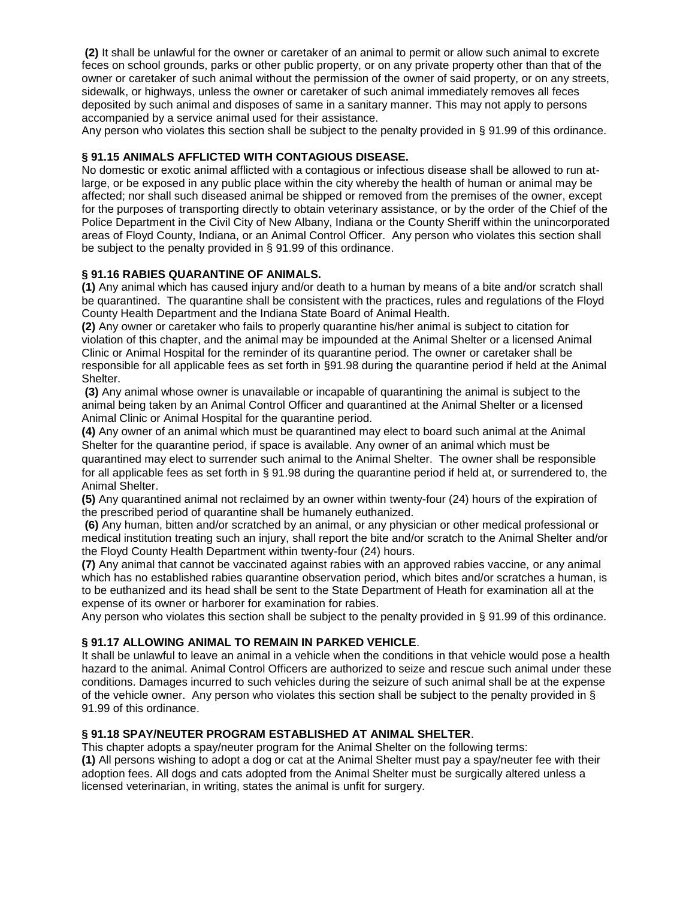**(2)** It shall be unlawful for the owner or caretaker of an animal to permit or allow such animal to excrete feces on school grounds, parks or other public property, or on any private property other than that of the owner or caretaker of such animal without the permission of the owner of said property, or on any streets, sidewalk, or highways, unless the owner or caretaker of such animal immediately removes all feces deposited by such animal and disposes of same in a sanitary manner. This may not apply to persons accompanied by a service animal used for their assistance.

Any person who violates this section shall be subject to the penalty provided in § 91.99 of this ordinance.

# **§ 91.15 ANIMALS AFFLICTED WITH CONTAGIOUS DISEASE.**

No domestic or exotic animal afflicted with a contagious or infectious disease shall be allowed to run atlarge, or be exposed in any public place within the city whereby the health of human or animal may be affected; nor shall such diseased animal be shipped or removed from the premises of the owner, except for the purposes of transporting directly to obtain veterinary assistance, or by the order of the Chief of the Police Department in the Civil City of New Albany, Indiana or the County Sheriff within the unincorporated areas of Floyd County, Indiana, or an Animal Control Officer. Any person who violates this section shall be subject to the penalty provided in § 91.99 of this ordinance.

# **§ 91.16 RABIES QUARANTINE OF ANIMALS.**

**(1)** Any animal which has caused injury and/or death to a human by means of a bite and/or scratch shall be quarantined. The quarantine shall be consistent with the practices, rules and regulations of the Floyd County Health Department and the Indiana State Board of Animal Health.

**(2)** Any owner or caretaker who fails to properly quarantine his/her animal is subject to citation for violation of this chapter, and the animal may be impounded at the Animal Shelter or a licensed Animal Clinic or Animal Hospital for the reminder of its quarantine period. The owner or caretaker shall be responsible for all applicable fees as set forth in §91.98 during the quarantine period if held at the Animal Shelter.

**(3)** Any animal whose owner is unavailable or incapable of quarantining the animal is subject to the animal being taken by an Animal Control Officer and quarantined at the Animal Shelter or a licensed Animal Clinic or Animal Hospital for the quarantine period.

**(4)** Any owner of an animal which must be quarantined may elect to board such animal at the Animal Shelter for the quarantine period, if space is available. Any owner of an animal which must be quarantined may elect to surrender such animal to the Animal Shelter. The owner shall be responsible for all applicable fees as set forth in § 91.98 during the quarantine period if held at, or surrendered to, the Animal Shelter.

**(5)** Any quarantined animal not reclaimed by an owner within twenty-four (24) hours of the expiration of the prescribed period of quarantine shall be humanely euthanized.

**(6)** Any human, bitten and/or scratched by an animal, or any physician or other medical professional or medical institution treating such an injury, shall report the bite and/or scratch to the Animal Shelter and/or the Floyd County Health Department within twenty-four (24) hours.

**(7)** Any animal that cannot be vaccinated against rabies with an approved rabies vaccine, or any animal which has no established rabies quarantine observation period, which bites and/or scratches a human, is to be euthanized and its head shall be sent to the State Department of Heath for examination all at the expense of its owner or harborer for examination for rabies.

Any person who violates this section shall be subject to the penalty provided in § 91.99 of this ordinance.

## **§ 91.17 ALLOWING ANIMAL TO REMAIN IN PARKED VEHICLE**.

It shall be unlawful to leave an animal in a vehicle when the conditions in that vehicle would pose a health hazard to the animal. Animal Control Officers are authorized to seize and rescue such animal under these conditions. Damages incurred to such vehicles during the seizure of such animal shall be at the expense of the vehicle owner. Any person who violates this section shall be subject to the penalty provided in § 91.99 of this ordinance.

# **§ 91.18 SPAY/NEUTER PROGRAM ESTABLISHED AT ANIMAL SHELTER**.

This chapter adopts a spay/neuter program for the Animal Shelter on the following terms: **(1)** All persons wishing to adopt a dog or cat at the Animal Shelter must pay a spay/neuter fee with their adoption fees. All dogs and cats adopted from the Animal Shelter must be surgically altered unless a licensed veterinarian, in writing, states the animal is unfit for surgery.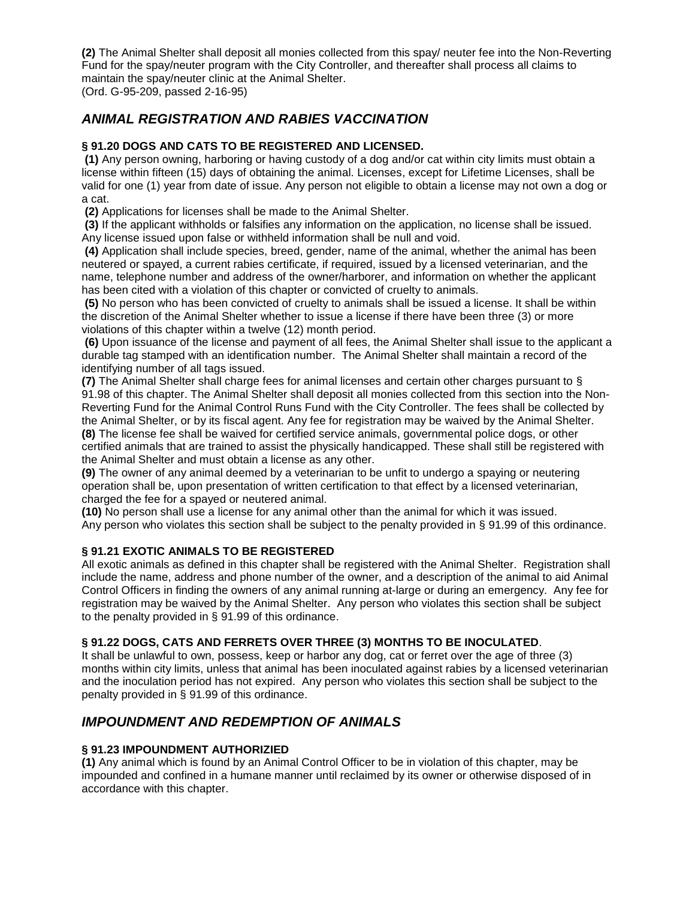**(2)** The Animal Shelter shall deposit all monies collected from this spay/ neuter fee into the Non-Reverting Fund for the spay/neuter program with the City Controller, and thereafter shall process all claims to maintain the spay/neuter clinic at the Animal Shelter.

(Ord. G-95-209, passed 2-16-95)

# *ANIMAL REGISTRATION AND RABIES VACCINATION*

# **§ 91.20 DOGS AND CATS TO BE REGISTERED AND LICENSED.**

**(1)** Any person owning, harboring or having custody of a dog and/or cat within city limits must obtain a license within fifteen (15) days of obtaining the animal. Licenses, except for Lifetime Licenses, shall be valid for one (1) year from date of issue. Any person not eligible to obtain a license may not own a dog or a cat.

**(2)** Applications for licenses shall be made to the Animal Shelter.

**(3)** If the applicant withholds or falsifies any information on the application, no license shall be issued. Any license issued upon false or withheld information shall be null and void.

**(4)** Application shall include species, breed, gender, name of the animal, whether the animal has been neutered or spayed, a current rabies certificate, if required, issued by a licensed veterinarian, and the name, telephone number and address of the owner/harborer, and information on whether the applicant has been cited with a violation of this chapter or convicted of cruelty to animals.

**(5)** No person who has been convicted of cruelty to animals shall be issued a license. It shall be within the discretion of the Animal Shelter whether to issue a license if there have been three (3) or more violations of this chapter within a twelve (12) month period.

**(6)** Upon issuance of the license and payment of all fees, the Animal Shelter shall issue to the applicant a durable tag stamped with an identification number. The Animal Shelter shall maintain a record of the identifying number of all tags issued.

**(7)** The Animal Shelter shall charge fees for animal licenses and certain other charges pursuant to § 91.98 of this chapter. The Animal Shelter shall deposit all monies collected from this section into the Non-Reverting Fund for the Animal Control Runs Fund with the City Controller. The fees shall be collected by the Animal Shelter, or by its fiscal agent. Any fee for registration may be waived by the Animal Shelter.

**(8)** The license fee shall be waived for certified service animals, governmental police dogs, or other certified animals that are trained to assist the physically handicapped. These shall still be registered with the Animal Shelter and must obtain a license as any other.

**(9)** The owner of any animal deemed by a veterinarian to be unfit to undergo a spaying or neutering operation shall be, upon presentation of written certification to that effect by a licensed veterinarian, charged the fee for a spayed or neutered animal.

**(10)** No person shall use a license for any animal other than the animal for which it was issued. Any person who violates this section shall be subject to the penalty provided in § 91.99 of this ordinance.

## **§ 91.21 EXOTIC ANIMALS TO BE REGISTERED**

All exotic animals as defined in this chapter shall be registered with the Animal Shelter. Registration shall include the name, address and phone number of the owner, and a description of the animal to aid Animal Control Officers in finding the owners of any animal running at-large or during an emergency. Any fee for registration may be waived by the Animal Shelter. Any person who violates this section shall be subject to the penalty provided in § 91.99 of this ordinance.

## **§ 91.22 DOGS, CATS AND FERRETS OVER THREE (3) MONTHS TO BE INOCULATED**.

It shall be unlawful to own, possess, keep or harbor any dog, cat or ferret over the age of three (3) months within city limits, unless that animal has been inoculated against rabies by a licensed veterinarian and the inoculation period has not expired. Any person who violates this section shall be subject to the penalty provided in § 91.99 of this ordinance.

# *IMPOUNDMENT AND REDEMPTION OF ANIMALS*

## **§ 91.23 IMPOUNDMENT AUTHORIZIED**

**(1)** Any animal which is found by an Animal Control Officer to be in violation of this chapter, may be impounded and confined in a humane manner until reclaimed by its owner or otherwise disposed of in accordance with this chapter.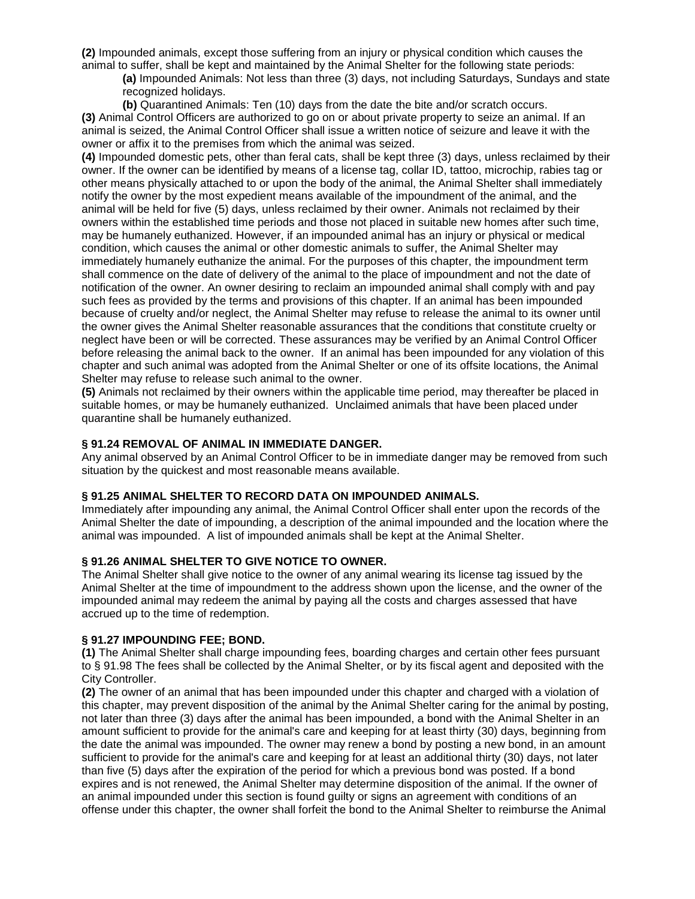**(2)** Impounded animals, except those suffering from an injury or physical condition which causes the animal to suffer, shall be kept and maintained by the Animal Shelter for the following state periods:

**(a)** Impounded Animals: Not less than three (3) days, not including Saturdays, Sundays and state recognized holidays.

**(b)** Quarantined Animals: Ten (10) days from the date the bite and/or scratch occurs.

**(3)** Animal Control Officers are authorized to go on or about private property to seize an animal. If an animal is seized, the Animal Control Officer shall issue a written notice of seizure and leave it with the owner or affix it to the premises from which the animal was seized.

**(4)** Impounded domestic pets, other than feral cats, shall be kept three (3) days, unless reclaimed by their owner. If the owner can be identified by means of a license tag, collar ID, tattoo, microchip, rabies tag or other means physically attached to or upon the body of the animal, the Animal Shelter shall immediately notify the owner by the most expedient means available of the impoundment of the animal, and the animal will be held for five (5) days, unless reclaimed by their owner. Animals not reclaimed by their owners within the established time periods and those not placed in suitable new homes after such time, may be humanely euthanized. However, if an impounded animal has an injury or physical or medical condition, which causes the animal or other domestic animals to suffer, the Animal Shelter may immediately humanely euthanize the animal. For the purposes of this chapter, the impoundment term shall commence on the date of delivery of the animal to the place of impoundment and not the date of notification of the owner. An owner desiring to reclaim an impounded animal shall comply with and pay such fees as provided by the terms and provisions of this chapter. If an animal has been impounded because of cruelty and/or neglect, the Animal Shelter may refuse to release the animal to its owner until the owner gives the Animal Shelter reasonable assurances that the conditions that constitute cruelty or neglect have been or will be corrected. These assurances may be verified by an Animal Control Officer before releasing the animal back to the owner. If an animal has been impounded for any violation of this chapter and such animal was adopted from the Animal Shelter or one of its offsite locations, the Animal Shelter may refuse to release such animal to the owner.

**(5)** Animals not reclaimed by their owners within the applicable time period, may thereafter be placed in suitable homes, or may be humanely euthanized. Unclaimed animals that have been placed under quarantine shall be humanely euthanized.

## **§ 91.24 REMOVAL OF ANIMAL IN IMMEDIATE DANGER.**

Any animal observed by an Animal Control Officer to be in immediate danger may be removed from such situation by the quickest and most reasonable means available.

#### **§ 91.25 ANIMAL SHELTER TO RECORD DATA ON IMPOUNDED ANIMALS.**

Immediately after impounding any animal, the Animal Control Officer shall enter upon the records of the Animal Shelter the date of impounding, a description of the animal impounded and the location where the animal was impounded. A list of impounded animals shall be kept at the Animal Shelter.

## **§ 91.26 ANIMAL SHELTER TO GIVE NOTICE TO OWNER.**

The Animal Shelter shall give notice to the owner of any animal wearing its license tag issued by the Animal Shelter at the time of impoundment to the address shown upon the license, and the owner of the impounded animal may redeem the animal by paying all the costs and charges assessed that have accrued up to the time of redemption.

## **§ 91.27 IMPOUNDING FEE; BOND.**

**(1)** The Animal Shelter shall charge impounding fees, boarding charges and certain other fees pursuant to § 91.98 The fees shall be collected by the Animal Shelter, or by its fiscal agent and deposited with the City Controller.

**(2)** The owner of an animal that has been impounded under this chapter and charged with a violation of this chapter, may prevent disposition of the animal by the Animal Shelter caring for the animal by posting, not later than three (3) days after the animal has been impounded, a bond with the Animal Shelter in an amount sufficient to provide for the animal's care and keeping for at least thirty (30) days, beginning from the date the animal was impounded. The owner may renew a bond by posting a new bond, in an amount sufficient to provide for the animal's care and keeping for at least an additional thirty (30) days, not later than five (5) days after the expiration of the period for which a previous bond was posted. If a bond expires and is not renewed, the Animal Shelter may determine disposition of the animal. If the owner of an animal impounded under this section is found guilty or signs an agreement with conditions of an offense under this chapter, the owner shall forfeit the bond to the Animal Shelter to reimburse the Animal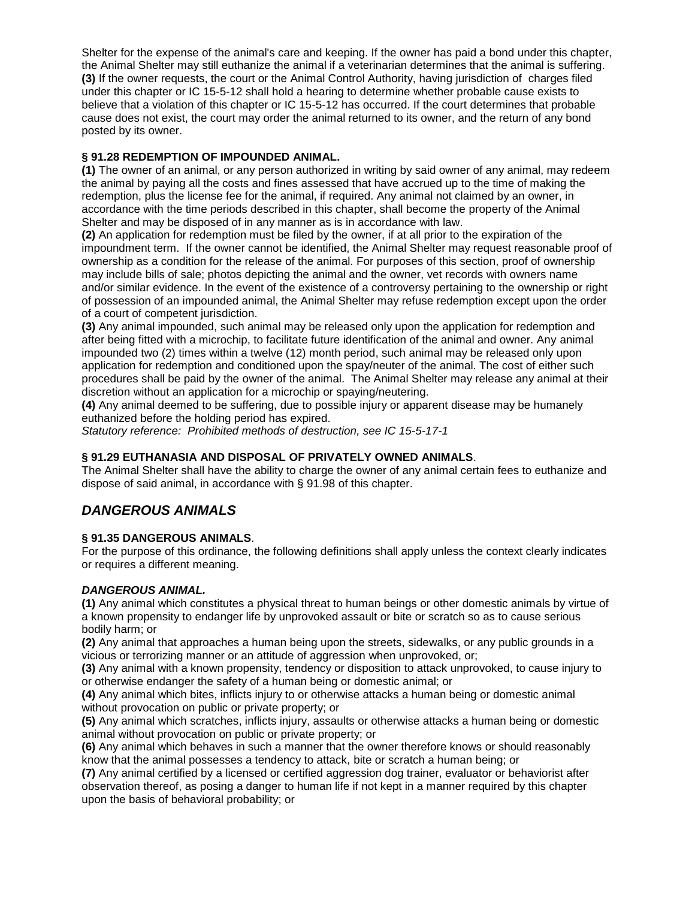Shelter for the expense of the animal's care and keeping. If the owner has paid a bond under this chapter, the Animal Shelter may still euthanize the animal if a veterinarian determines that the animal is suffering. **(3)** If the owner requests, the court or the Animal Control Authority, having jurisdiction of charges filed under this chapter or IC 15-5-12 shall hold a hearing to determine whether probable cause exists to believe that a violation of this chapter or IC 15-5-12 has occurred. If the court determines that probable cause does not exist, the court may order the animal returned to its owner, and the return of any bond posted by its owner.

## **§ 91.28 REDEMPTION OF IMPOUNDED ANIMAL.**

**(1)** The owner of an animal, or any person authorized in writing by said owner of any animal, may redeem the animal by paying all the costs and fines assessed that have accrued up to the time of making the redemption, plus the license fee for the animal, if required. Any animal not claimed by an owner, in accordance with the time periods described in this chapter, shall become the property of the Animal Shelter and may be disposed of in any manner as is in accordance with law.

**(2)** An application for redemption must be filed by the owner, if at all prior to the expiration of the impoundment term. If the owner cannot be identified, the Animal Shelter may request reasonable proof of ownership as a condition for the release of the animal. For purposes of this section, proof of ownership may include bills of sale; photos depicting the animal and the owner, vet records with owners name and/or similar evidence. In the event of the existence of a controversy pertaining to the ownership or right of possession of an impounded animal, the Animal Shelter may refuse redemption except upon the order of a court of competent jurisdiction.

**(3)** Any animal impounded, such animal may be released only upon the application for redemption and after being fitted with a microchip, to facilitate future identification of the animal and owner. Any animal impounded two (2) times within a twelve (12) month period, such animal may be released only upon application for redemption and conditioned upon the spay/neuter of the animal. The cost of either such procedures shall be paid by the owner of the animal. The Animal Shelter may release any animal at their discretion without an application for a microchip or spaying/neutering.

**(4)** Any animal deemed to be suffering, due to possible injury or apparent disease may be humanely euthanized before the holding period has expired.

*Statutory reference: Prohibited methods of destruction, see IC 15-5-17-1*

## **§ 91.29 EUTHANASIA AND DISPOSAL OF PRIVATELY OWNED ANIMALS**.

The Animal Shelter shall have the ability to charge the owner of any animal certain fees to euthanize and dispose of said animal, in accordance with § 91.98 of this chapter.

# *DANGEROUS ANIMALS*

## **§ 91.35 DANGEROUS ANIMALS**.

For the purpose of this ordinance, the following definitions shall apply unless the context clearly indicates or requires a different meaning.

## *DANGEROUS ANIMAL.*

**(1)** Any animal which constitutes a physical threat to human beings or other domestic animals by virtue of a known propensity to endanger life by unprovoked assault or bite or scratch so as to cause serious bodily harm; or

**(2)** Any animal that approaches a human being upon the streets, sidewalks, or any public grounds in a vicious or terrorizing manner or an attitude of aggression when unprovoked, or;

**(3)** Any animal with a known propensity, tendency or disposition to attack unprovoked, to cause injury to or otherwise endanger the safety of a human being or domestic animal; or

**(4)** Any animal which bites, inflicts injury to or otherwise attacks a human being or domestic animal without provocation on public or private property; or

**(5)** Any animal which scratches, inflicts injury, assaults or otherwise attacks a human being or domestic animal without provocation on public or private property; or

**(6)** Any animal which behaves in such a manner that the owner therefore knows or should reasonably know that the animal possesses a tendency to attack, bite or scratch a human being; or

**(7)** Any animal certified by a licensed or certified aggression dog trainer, evaluator or behaviorist after observation thereof, as posing a danger to human life if not kept in a manner required by this chapter upon the basis of behavioral probability; or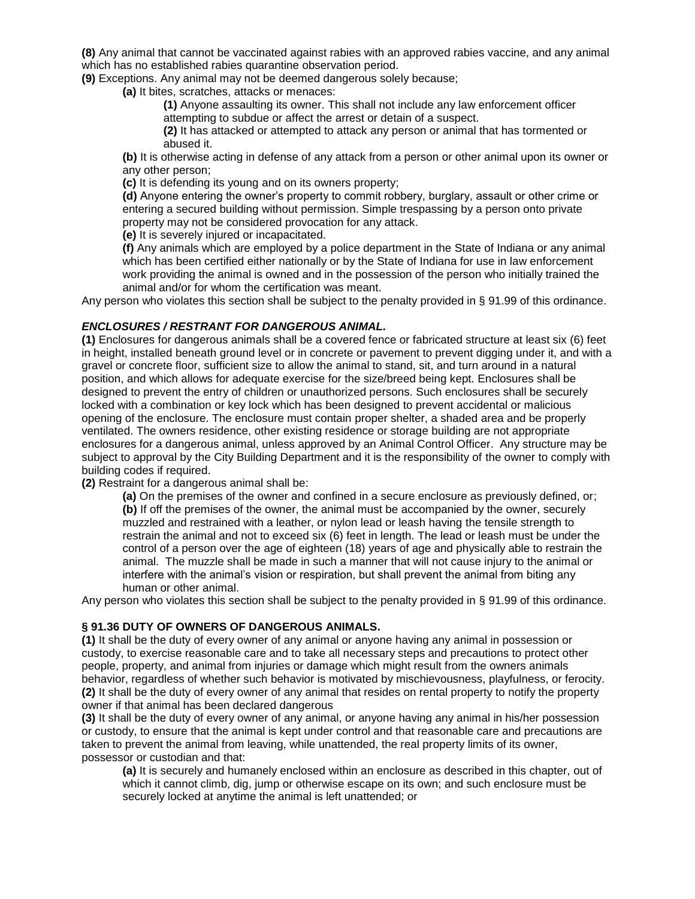**(8)** Any animal that cannot be vaccinated against rabies with an approved rabies vaccine, and any animal which has no established rabies quarantine observation period.

**(9)** Exceptions. Any animal may not be deemed dangerous solely because;

**(a)** It bites, scratches, attacks or menaces:

**(1)** Anyone assaulting its owner. This shall not include any law enforcement officer attempting to subdue or affect the arrest or detain of a suspect.

**(2)** It has attacked or attempted to attack any person or animal that has tormented or abused it.

**(b)** It is otherwise acting in defense of any attack from a person or other animal upon its owner or any other person;

**(c)** It is defending its young and on its owners property;

**(d)** Anyone entering the owner's property to commit robbery, burglary, assault or other crime or entering a secured building without permission. Simple trespassing by a person onto private property may not be considered provocation for any attack.

**(e)** It is severely injured or incapacitated.

**(f)** Any animals which are employed by a police department in the State of Indiana or any animal which has been certified either nationally or by the State of Indiana for use in law enforcement work providing the animal is owned and in the possession of the person who initially trained the animal and/or for whom the certification was meant.

Any person who violates this section shall be subject to the penalty provided in § 91.99 of this ordinance.

#### *ENCLOSURES / RESTRANT FOR DANGEROUS ANIMAL.*

**(1)** Enclosures for dangerous animals shall be a covered fence or fabricated structure at least six (6) feet in height, installed beneath ground level or in concrete or pavement to prevent digging under it, and with a gravel or concrete floor, sufficient size to allow the animal to stand, sit, and turn around in a natural position, and which allows for adequate exercise for the size/breed being kept. Enclosures shall be designed to prevent the entry of children or unauthorized persons. Such enclosures shall be securely locked with a combination or key lock which has been designed to prevent accidental or malicious opening of the enclosure. The enclosure must contain proper shelter, a shaded area and be properly ventilated. The owners residence, other existing residence or storage building are not appropriate enclosures for a dangerous animal, unless approved by an Animal Control Officer. Any structure may be subject to approval by the City Building Department and it is the responsibility of the owner to comply with building codes if required.

**(2)** Restraint for a dangerous animal shall be:

**(a)** On the premises of the owner and confined in a secure enclosure as previously defined, or; **(b)** If off the premises of the owner, the animal must be accompanied by the owner, securely muzzled and restrained with a leather, or nylon lead or leash having the tensile strength to restrain the animal and not to exceed six (6) feet in length. The lead or leash must be under the control of a person over the age of eighteen (18) years of age and physically able to restrain the animal. The muzzle shall be made in such a manner that will not cause injury to the animal or interfere with the animal's vision or respiration, but shall prevent the animal from biting any human or other animal.

Any person who violates this section shall be subject to the penalty provided in § 91.99 of this ordinance.

#### **§ 91.36 DUTY OF OWNERS OF DANGEROUS ANIMALS.**

**(1)** It shall be the duty of every owner of any animal or anyone having any animal in possession or custody, to exercise reasonable care and to take all necessary steps and precautions to protect other people, property, and animal from injuries or damage which might result from the owners animals behavior, regardless of whether such behavior is motivated by mischievousness, playfulness, or ferocity. **(2)** It shall be the duty of every owner of any animal that resides on rental property to notify the property owner if that animal has been declared dangerous

**(3)** It shall be the duty of every owner of any animal, or anyone having any animal in his/her possession or custody, to ensure that the animal is kept under control and that reasonable care and precautions are taken to prevent the animal from leaving, while unattended, the real property limits of its owner, possessor or custodian and that:

**(a)** It is securely and humanely enclosed within an enclosure as described in this chapter, out of which it cannot climb, dig, jump or otherwise escape on its own; and such enclosure must be securely locked at anytime the animal is left unattended; or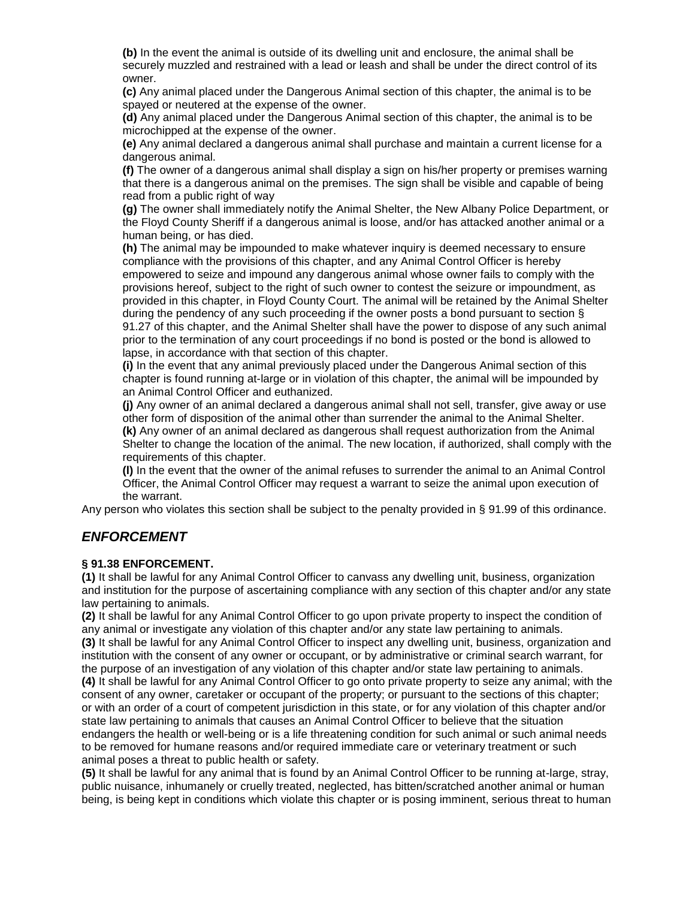**(b)** In the event the animal is outside of its dwelling unit and enclosure, the animal shall be securely muzzled and restrained with a lead or leash and shall be under the direct control of its owner.

**(c)** Any animal placed under the Dangerous Animal section of this chapter, the animal is to be spayed or neutered at the expense of the owner.

**(d)** Any animal placed under the Dangerous Animal section of this chapter, the animal is to be microchipped at the expense of the owner.

**(e)** Any animal declared a dangerous animal shall purchase and maintain a current license for a dangerous animal.

**(f)** The owner of a dangerous animal shall display a sign on his/her property or premises warning that there is a dangerous animal on the premises. The sign shall be visible and capable of being read from a public right of way

**(g)** The owner shall immediately notify the Animal Shelter, the New Albany Police Department, or the Floyd County Sheriff if a dangerous animal is loose, and/or has attacked another animal or a human being, or has died.

**(h)** The animal may be impounded to make whatever inquiry is deemed necessary to ensure compliance with the provisions of this chapter, and any Animal Control Officer is hereby empowered to seize and impound any dangerous animal whose owner fails to comply with the provisions hereof, subject to the right of such owner to contest the seizure or impoundment, as provided in this chapter, in Floyd County Court. The animal will be retained by the Animal Shelter during the pendency of any such proceeding if the owner posts a bond pursuant to section § 91.27 of this chapter, and the Animal Shelter shall have the power to dispose of any such animal prior to the termination of any court proceedings if no bond is posted or the bond is allowed to lapse, in accordance with that section of this chapter.

**(i)** In the event that any animal previously placed under the Dangerous Animal section of this chapter is found running at-large or in violation of this chapter, the animal will be impounded by an Animal Control Officer and euthanized.

**(j)** Any owner of an animal declared a dangerous animal shall not sell, transfer, give away or use other form of disposition of the animal other than surrender the animal to the Animal Shelter. **(k)** Any owner of an animal declared as dangerous shall request authorization from the Animal Shelter to change the location of the animal. The new location, if authorized, shall comply with the requirements of this chapter.

**(l)** In the event that the owner of the animal refuses to surrender the animal to an Animal Control Officer, the Animal Control Officer may request a warrant to seize the animal upon execution of the warrant.

Any person who violates this section shall be subject to the penalty provided in § 91.99 of this ordinance.

# *ENFORCEMENT*

#### **§ 91.38 ENFORCEMENT.**

**(1)** It shall be lawful for any Animal Control Officer to canvass any dwelling unit, business, organization and institution for the purpose of ascertaining compliance with any section of this chapter and/or any state law pertaining to animals.

**(2)** It shall be lawful for any Animal Control Officer to go upon private property to inspect the condition of any animal or investigate any violation of this chapter and/or any state law pertaining to animals.

**(3)** It shall be lawful for any Animal Control Officer to inspect any dwelling unit, business, organization and institution with the consent of any owner or occupant, or by administrative or criminal search warrant, for the purpose of an investigation of any violation of this chapter and/or state law pertaining to animals.

**(4)** It shall be lawful for any Animal Control Officer to go onto private property to seize any animal; with the consent of any owner, caretaker or occupant of the property; or pursuant to the sections of this chapter; or with an order of a court of competent jurisdiction in this state, or for any violation of this chapter and/or state law pertaining to animals that causes an Animal Control Officer to believe that the situation endangers the health or well-being or is a life threatening condition for such animal or such animal needs to be removed for humane reasons and/or required immediate care or veterinary treatment or such animal poses a threat to public health or safety.

**(5)** It shall be lawful for any animal that is found by an Animal Control Officer to be running at-large, stray, public nuisance, inhumanely or cruelly treated, neglected, has bitten/scratched another animal or human being, is being kept in conditions which violate this chapter or is posing imminent, serious threat to human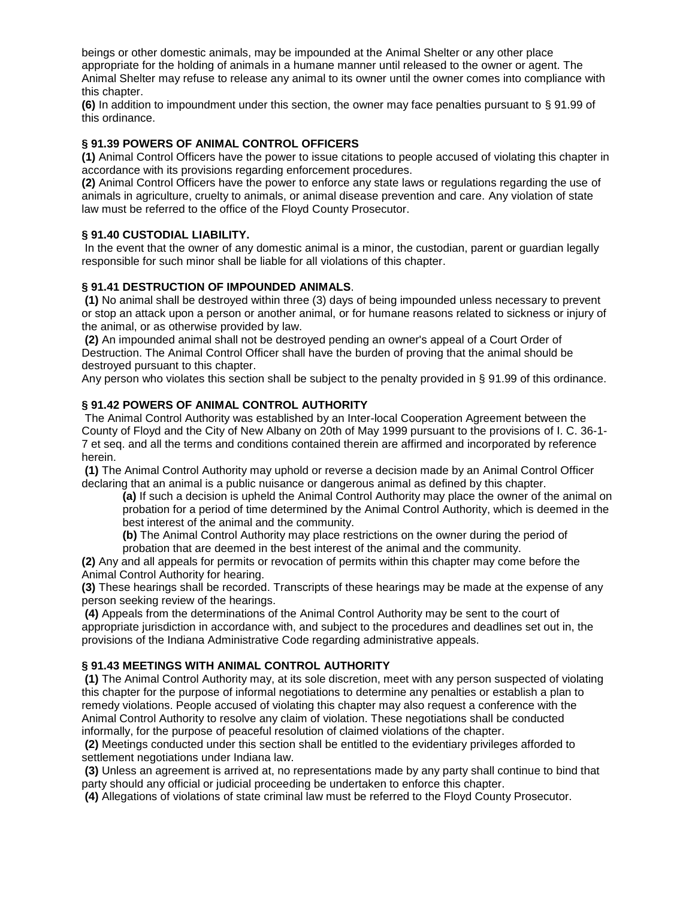beings or other domestic animals, may be impounded at the Animal Shelter or any other place appropriate for the holding of animals in a humane manner until released to the owner or agent. The Animal Shelter may refuse to release any animal to its owner until the owner comes into compliance with this chapter.

**(6)** In addition to impoundment under this section, the owner may face penalties pursuant to § 91.99 of this ordinance.

## **§ 91.39 POWERS OF ANIMAL CONTROL OFFICERS**

**(1)** Animal Control Officers have the power to issue citations to people accused of violating this chapter in accordance with its provisions regarding enforcement procedures.

**(2)** Animal Control Officers have the power to enforce any state laws or regulations regarding the use of animals in agriculture, cruelty to animals, or animal disease prevention and care. Any violation of state law must be referred to the office of the Floyd County Prosecutor.

## **§ 91.40 CUSTODIAL LIABILITY.**

In the event that the owner of any domestic animal is a minor, the custodian, parent or guardian legally responsible for such minor shall be liable for all violations of this chapter.

## **§ 91.41 DESTRUCTION OF IMPOUNDED ANIMALS**.

**(1)** No animal shall be destroyed within three (3) days of being impounded unless necessary to prevent or stop an attack upon a person or another animal, or for humane reasons related to sickness or injury of the animal, or as otherwise provided by law.

**(2)** An impounded animal shall not be destroyed pending an owner's appeal of a Court Order of Destruction. The Animal Control Officer shall have the burden of proving that the animal should be destroyed pursuant to this chapter.

Any person who violates this section shall be subject to the penalty provided in § 91.99 of this ordinance.

## **§ 91.42 POWERS OF ANIMAL CONTROL AUTHORITY**

The Animal Control Authority was established by an Inter-local Cooperation Agreement between the County of Floyd and the City of New Albany on 20th of May 1999 pursuant to the provisions of I. C. 36-1- 7 et seq. and all the terms and conditions contained therein are affirmed and incorporated by reference herein.

**(1)** The Animal Control Authority may uphold or reverse a decision made by an Animal Control Officer declaring that an animal is a public nuisance or dangerous animal as defined by this chapter.

**(a)** If such a decision is upheld the Animal Control Authority may place the owner of the animal on probation for a period of time determined by the Animal Control Authority, which is deemed in the best interest of the animal and the community.

**(b)** The Animal Control Authority may place restrictions on the owner during the period of probation that are deemed in the best interest of the animal and the community.

**(2)** Any and all appeals for permits or revocation of permits within this chapter may come before the Animal Control Authority for hearing.

**(3)** These hearings shall be recorded. Transcripts of these hearings may be made at the expense of any person seeking review of the hearings.

**(4)** Appeals from the determinations of the Animal Control Authority may be sent to the court of appropriate jurisdiction in accordance with, and subject to the procedures and deadlines set out in, the provisions of the Indiana Administrative Code regarding administrative appeals.

#### **§ 91.43 MEETINGS WITH ANIMAL CONTROL AUTHORITY**

**(1)** The Animal Control Authority may, at its sole discretion, meet with any person suspected of violating this chapter for the purpose of informal negotiations to determine any penalties or establish a plan to remedy violations. People accused of violating this chapter may also request a conference with the Animal Control Authority to resolve any claim of violation. These negotiations shall be conducted informally, for the purpose of peaceful resolution of claimed violations of the chapter.

**(2)** Meetings conducted under this section shall be entitled to the evidentiary privileges afforded to settlement negotiations under Indiana law.

**(3)** Unless an agreement is arrived at, no representations made by any party shall continue to bind that party should any official or judicial proceeding be undertaken to enforce this chapter.

**(4)** Allegations of violations of state criminal law must be referred to the Floyd County Prosecutor.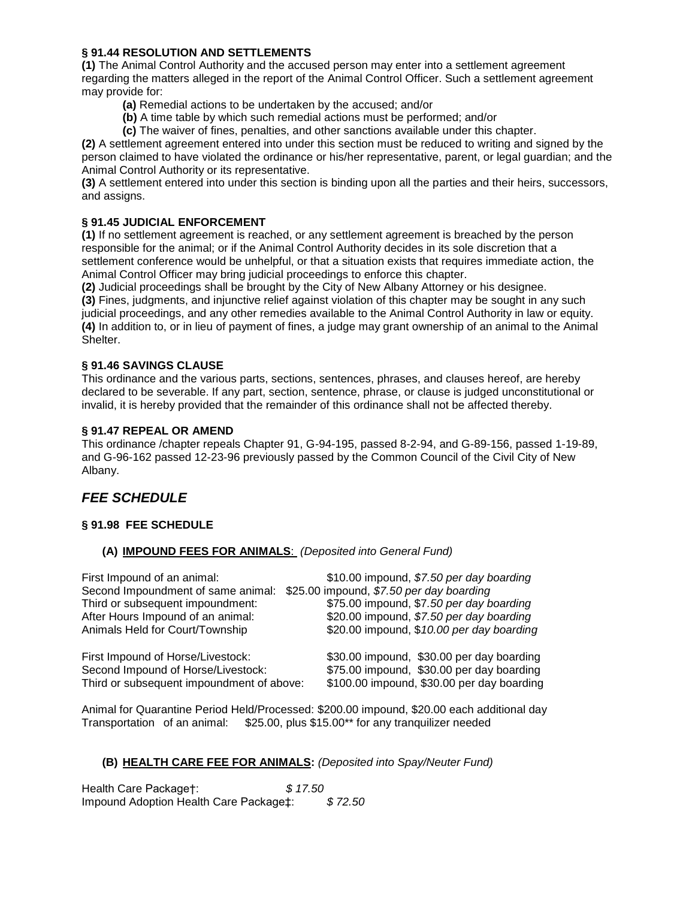## **§ 91.44 RESOLUTION AND SETTLEMENTS**

**(1)** The Animal Control Authority and the accused person may enter into a settlement agreement regarding the matters alleged in the report of the Animal Control Officer. Such a settlement agreement may provide for:

- **(a)** Remedial actions to be undertaken by the accused; and/or
- **(b)** A time table by which such remedial actions must be performed; and/or
- **(c)** The waiver of fines, penalties, and other sanctions available under this chapter.

**(2)** A settlement agreement entered into under this section must be reduced to writing and signed by the person claimed to have violated the ordinance or his/her representative, parent, or legal guardian; and the Animal Control Authority or its representative.

**(3)** A settlement entered into under this section is binding upon all the parties and their heirs, successors, and assigns.

## **§ 91.45 JUDICIAL ENFORCEMENT**

**(1)** If no settlement agreement is reached, or any settlement agreement is breached by the person responsible for the animal; or if the Animal Control Authority decides in its sole discretion that a settlement conference would be unhelpful, or that a situation exists that requires immediate action, the Animal Control Officer may bring judicial proceedings to enforce this chapter.

**(2)** Judicial proceedings shall be brought by the City of New Albany Attorney or his designee.

**(3)** Fines, judgments, and injunctive relief against violation of this chapter may be sought in any such judicial proceedings, and any other remedies available to the Animal Control Authority in law or equity. **(4)** In addition to, or in lieu of payment of fines, a judge may grant ownership of an animal to the Animal Shelter.

## **§ 91.46 SAVINGS CLAUSE**

This ordinance and the various parts, sections, sentences, phrases, and clauses hereof, are hereby declared to be severable. If any part, section, sentence, phrase, or clause is judged unconstitutional or invalid, it is hereby provided that the remainder of this ordinance shall not be affected thereby.

## **§ 91.47 REPEAL OR AMEND**

This ordinance /chapter repeals Chapter 91, G-94-195, passed 8-2-94, and G-89-156, passed 1-19-89, and G-96-162 passed 12-23-96 previously passed by the Common Council of the Civil City of New Albany.

# *FEE SCHEDULE*

## **§ 91.98 FEE SCHEDULE**

#### **(A) IMPOUND FEES FOR ANIMALS**: *(Deposited into General Fund)*

| First Impound of an animal:               | \$10.00 impound, \$7.50 per day boarding   |
|-------------------------------------------|--------------------------------------------|
| Second Impoundment of same animal:        | \$25.00 impound, \$7.50 per day boarding   |
| Third or subsequent impoundment:          | \$75.00 impound, \$7.50 per day boarding   |
| After Hours Impound of an animal:         | \$20.00 impound, \$7.50 per day boarding   |
| Animals Held for Court/Township           | \$20.00 impound, \$10.00 per day boarding  |
| First Impound of Horse/Livestock:         | \$30.00 impound, \$30.00 per day boarding  |
| Second Impound of Horse/Livestock:        | \$75.00 impound, \$30.00 per day boarding  |
| Third or subsequent impoundment of above: | \$100.00 impound, \$30.00 per day boarding |

Animal for Quarantine Period Held/Processed: \$200.00 impound, \$20.00 each additional day Transportation of an animal: \$25.00, plus \$15.00\*\* for any tranquilizer needed

## **(B) HEALTH CARE FEE FOR ANIMALS:** *(Deposited into Spay/Neuter Fund)*

Health Care Package†: *\$ 17.50* Impound Adoption Health Care Package‡: *\$ 72.50*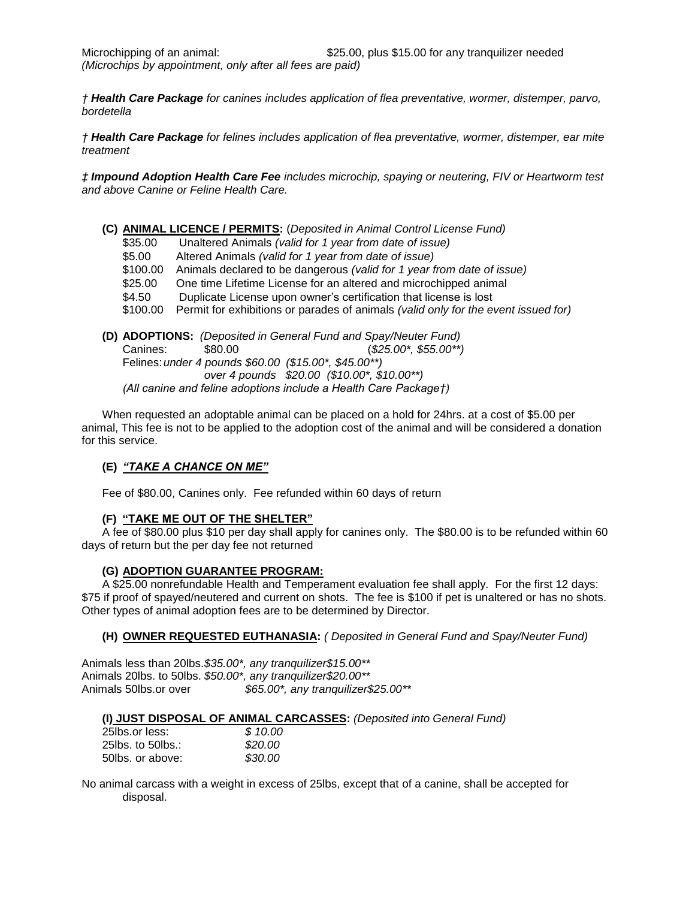*† Health Care Package for canines includes application of flea preventative, wormer, distemper, parvo, bordetella*

*† Health Care Package for felines includes application of flea preventative, wormer, distemper, ear mite treatment* 

*‡ Impound Adoption Health Care Fee includes microchip, spaying or neutering, FIV or Heartworm test and above Canine or Feline Health Care.* 

**(C) ANIMAL LICENCE / PERMITS:** (*Deposited in Animal Control License Fund)* \$35.00 Unaltered Animals *(valid for 1 year from date of issue)* \$5.00 Altered Animals *(valid for 1 year from date of issue)* \$100.00 Animals declared to be dangerous *(valid for 1 year from date of issue)* \$25.00 One time Lifetime License for an altered and microchipped animal \$4.50 Duplicate License upon owner's certification that license is lost \$100.00 Permit for exhibitions or parades of animals *(valid only for the event issued for)* **(D) ADOPTIONS:** *(Deposited in General Fund and Spay/Neuter Fund)* Canines: \$80.00 (*\$25.00\*, \$55.00\*\*)* 

Felines:*under 4 pounds \$60.00 (\$15.00\*, \$45.00\*\*) over 4 pounds \$20.00 (\$10.00\*, \$10.00\*\*) (All canine and feline adoptions include a Health Care Package†)*

When requested an adoptable animal can be placed on a hold for 24hrs. at a cost of \$5.00 per animal, This fee is not to be applied to the adoption cost of the animal and will be considered a donation for this service.

## **(E)** *"TAKE A CHANCE ON ME"*

Fee of \$80.00, Canines only. Fee refunded within 60 days of return

#### **(F) "TAKE ME OUT OF THE SHELTER"**

A fee of \$80.00 plus \$10 per day shall apply for canines only. The \$80.00 is to be refunded within 60 days of return but the per day fee not returned

#### **(G) ADOPTION GUARANTEE PROGRAM:**

A \$25.00 nonrefundable Health and Temperament evaluation fee shall apply. For the first 12 days: \$75 if proof of spayed/neutered and current on shots. The fee is \$100 if pet is unaltered or has no shots. Other types of animal adoption fees are to be determined by Director.

#### **(H) OWNER REQUESTED EUTHANASIA:** *( Deposited in General Fund and Spay/Neuter Fund)*

Animals less than 20lbs.*\$35.00\*, any tranquilizer\$15.00\*\** Animals 20lbs. to 50lbs. *\$50.00\*, any tranquilizer\$20.00\*\**  Animals 50lbs.or over *\$65.00\*, any tranquilizer\$25.00\*\** 

#### **(I) JUST DISPOSAL OF ANIMAL CARCASSES:** *(Deposited into General Fund)*

| 25lbs.or less:    | \$10.00 |
|-------------------|---------|
| 25lbs. to 50lbs.: | \$20.00 |
| 50lbs. or above:  | \$30.00 |

No animal carcass with a weight in excess of 25lbs, except that of a canine, shall be accepted for disposal.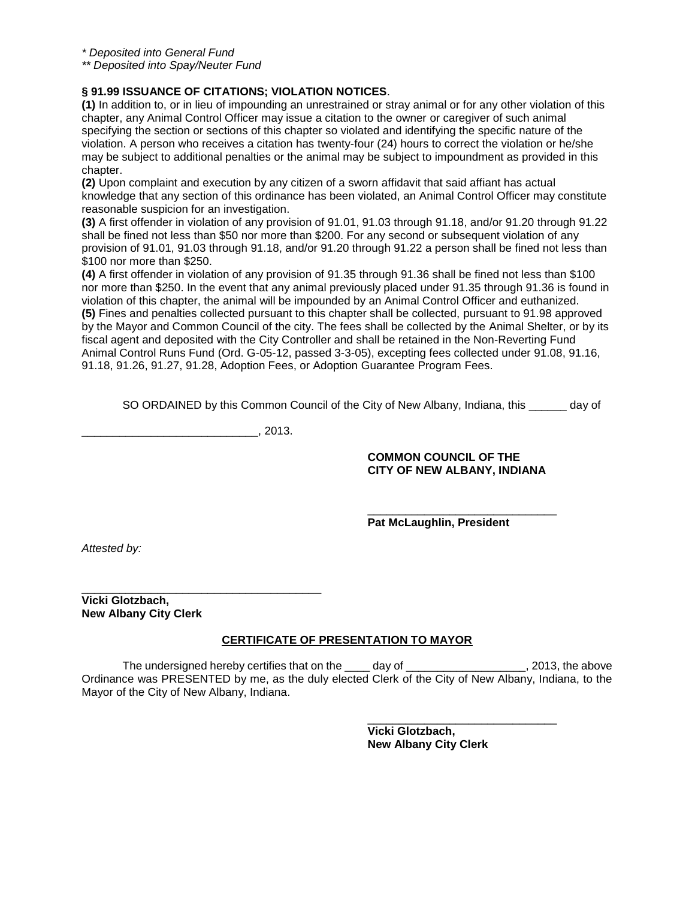*\* Deposited into General Fund*

*\*\* Deposited into Spay/Neuter Fund*

## **§ 91.99 ISSUANCE OF CITATIONS; VIOLATION NOTICES**.

**(1)** In addition to, or in lieu of impounding an unrestrained or stray animal or for any other violation of this chapter, any Animal Control Officer may issue a citation to the owner or caregiver of such animal specifying the section or sections of this chapter so violated and identifying the specific nature of the violation. A person who receives a citation has twenty-four (24) hours to correct the violation or he/she may be subject to additional penalties or the animal may be subject to impoundment as provided in this chapter.

**(2)** Upon complaint and execution by any citizen of a sworn affidavit that said affiant has actual knowledge that any section of this ordinance has been violated, an Animal Control Officer may constitute reasonable suspicion for an investigation.

**(3)** A first offender in violation of any provision of 91.01, 91.03 through 91.18, and/or 91.20 through 91.22 shall be fined not less than \$50 nor more than \$200. For any second or subsequent violation of any provision of 91.01, 91.03 through 91.18, and/or 91.20 through 91.22 a person shall be fined not less than \$100 nor more than \$250.

**(4)** A first offender in violation of any provision of 91.35 through 91.36 shall be fined not less than \$100 nor more than \$250. In the event that any animal previously placed under 91.35 through 91.36 is found in violation of this chapter, the animal will be impounded by an Animal Control Officer and euthanized. **(5)** Fines and penalties collected pursuant to this chapter shall be collected, pursuant to 91.98 approved by the Mayor and Common Council of the city. The fees shall be collected by the Animal Shelter, or by its fiscal agent and deposited with the City Controller and shall be retained in the Non-Reverting Fund Animal Control Runs Fund (Ord. G-05-12, passed 3-3-05), excepting fees collected under 91.08, 91.16, 91.18, 91.26, 91.27, 91.28, Adoption Fees, or Adoption Guarantee Program Fees.

SO ORDAINED by this Common Council of the City of New Albany, Indiana, this equal of

 $, 2013.$ 

\_\_\_\_\_\_\_\_\_\_\_\_\_\_\_\_\_\_\_\_\_\_\_\_\_\_\_\_\_\_\_\_\_\_\_\_\_\_

#### **COMMON COUNCIL OF THE CITY OF NEW ALBANY, INDIANA**

\_\_\_\_\_\_\_\_\_\_\_\_\_\_\_\_\_\_\_\_\_\_\_\_\_\_\_\_\_\_

**Pat McLaughlin, President** 

*Attested by:* 

**Vicki Glotzbach, New Albany City Clerk**

## **CERTIFICATE OF PRESENTATION TO MAYOR**

The undersigned hereby certifies that on the \_\_\_\_\_ day of \_\_\_\_\_\_\_\_\_\_\_\_\_\_\_\_\_\_\_\_, 2013, the above Ordinance was PRESENTED by me, as the duly elected Clerk of the City of New Albany, Indiana, to the Mayor of the City of New Albany, Indiana.

> \_\_\_\_\_\_\_\_\_\_\_\_\_\_\_\_\_\_\_\_\_\_\_\_\_\_\_\_\_\_ **Vicki Glotzbach, New Albany City Clerk**